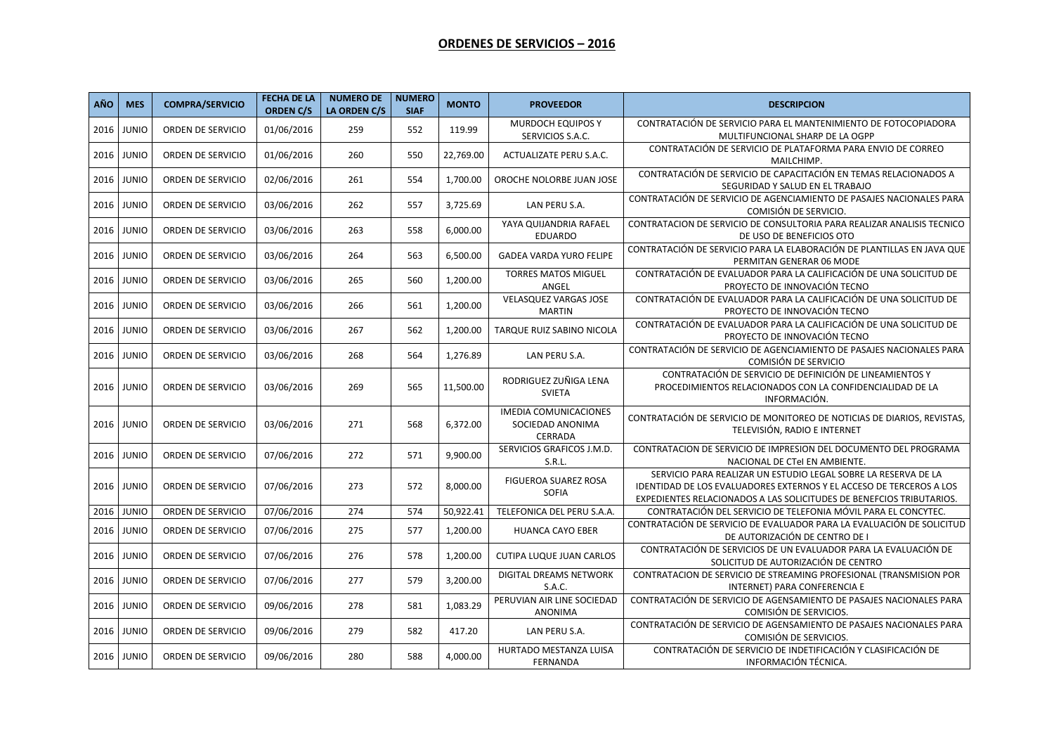## **ORDENES DE SERVICIOS – 2016**

| <b>AÑO</b> | <b>MES</b>   | <b>COMPRA/SERVICIO</b> | <b>FECHA DE LA</b><br><b>ORDEN C/S</b> | <b>NUMERO DE</b><br>LA ORDEN C/S | <b>NUMERO</b><br><b>SIAF</b> | <b>MONTO</b> | <b>PROVEEDOR</b>                                                   | <b>DESCRIPCION</b>                                                                                                                                                                                            |
|------------|--------------|------------------------|----------------------------------------|----------------------------------|------------------------------|--------------|--------------------------------------------------------------------|---------------------------------------------------------------------------------------------------------------------------------------------------------------------------------------------------------------|
| 2016       | <b>JUNIO</b> | ORDEN DE SERVICIO      | 01/06/2016                             | 259                              | 552                          | 119.99       | MURDOCH EQUIPOS Y<br>SERVICIOS S.A.C.                              | CONTRATACIÓN DE SERVICIO PARA EL MANTENIMIENTO DE FOTOCOPIADORA<br>MULTIFUNCIONAL SHARP DE LA OGPP                                                                                                            |
| 2016       | <b>JUNIO</b> | ORDEN DE SERVICIO      | 01/06/2016                             | 260                              | 550                          | 22,769.00    | ACTUALIZATE PERU S.A.C.                                            | CONTRATACIÓN DE SERVICIO DE PLATAFORMA PARA ENVIO DE CORREO<br>MAILCHIMP.                                                                                                                                     |
| 2016       | <b>JUNIO</b> | ORDEN DE SERVICIO      | 02/06/2016                             | 261                              | 554                          | 1,700.00     | OROCHE NOLORBE JUAN JOSE                                           | CONTRATACIÓN DE SERVICIO DE CAPACITACIÓN EN TEMAS RELACIONADOS A<br>SEGURIDAD Y SALUD EN EL TRABAJO                                                                                                           |
| 2016       | <b>JUNIO</b> | ORDEN DE SERVICIO      | 03/06/2016                             | 262                              | 557                          | 3,725.69     | LAN PERU S.A.                                                      | CONTRATACIÓN DE SERVICIO DE AGENCIAMIENTO DE PASAJES NACIONALES PARA<br>COMISIÓN DE SERVICIO.                                                                                                                 |
| 2016       | <b>JUNIO</b> | ORDEN DE SERVICIO      | 03/06/2016                             | 263                              | 558                          | 6,000.00     | YAYA QUIJANDRIA RAFAEL<br><b>EDUARDO</b>                           | CONTRATACION DE SERVICIO DE CONSULTORIA PARA REALIZAR ANALISIS TECNICO<br>DE USO DE BENEFICIOS OTO                                                                                                            |
| 2016       | <b>JUNIO</b> | ORDEN DE SERVICIO      | 03/06/2016                             | 264                              | 563                          | 6,500.00     | <b>GADEA VARDA YURO FELIPE</b>                                     | CONTRATACIÓN DE SERVICIO PARA LA ELABORACIÓN DE PLANTILLAS EN JAVA QUE<br>PERMITAN GENERAR 06 MODE                                                                                                            |
| 2016       | <b>JUNIO</b> | ORDEN DE SERVICIO      | 03/06/2016                             | 265                              | 560                          | 1,200.00     | <b>TORRES MATOS MIGUEL</b><br>ANGEL                                | CONTRATACIÓN DE EVALUADOR PARA LA CALIFICACIÓN DE UNA SOLICITUD DE<br>PROYECTO DE INNOVACIÓN TECNO                                                                                                            |
| 2016       | <b>JUNIO</b> | ORDEN DE SERVICIO      | 03/06/2016                             | 266                              | 561                          | 1,200.00     | <b>VELASQUEZ VARGAS JOSE</b><br><b>MARTIN</b>                      | CONTRATACIÓN DE EVALUADOR PARA LA CALIFICACIÓN DE UNA SOLICITUD DE<br>PROYECTO DE INNOVACIÓN TECNO                                                                                                            |
| 2016       | <b>JUNIO</b> | ORDEN DE SERVICIO      | 03/06/2016                             | 267                              | 562                          | 1,200.00     | TARQUE RUIZ SABINO NICOLA                                          | CONTRATACIÓN DE EVALUADOR PARA LA CALIFICACIÓN DE UNA SOLICITUD DE<br>PROYECTO DE INNOVACIÓN TECNO                                                                                                            |
| 2016       | <b>JUNIO</b> | ORDEN DE SERVICIO      | 03/06/2016                             | 268                              | 564                          | 1,276.89     | LAN PERU S.A.                                                      | CONTRATACIÓN DE SERVICIO DE AGENCIAMIENTO DE PASAJES NACIONALES PARA<br>COMISIÓN DE SERVICIO                                                                                                                  |
| 2016       | <b>JUNIO</b> | ORDEN DE SERVICIO      | 03/06/2016                             | 269                              | 565                          | 11,500.00    | RODRIGUEZ ZUÑIGA LENA<br><b>SVIETA</b>                             | CONTRATACIÓN DE SERVICIO DE DEFINICIÓN DE LINEAMIENTOS Y<br>PROCEDIMIENTOS RELACIONADOS CON LA CONFIDENCIALIDAD DE LA<br>INFORMACIÓN.                                                                         |
| 2016       | <b>JUNIO</b> | ORDEN DE SERVICIO      | 03/06/2016                             | 271                              | 568                          | 6,372.00     | <b>IMEDIA COMUNICACIONES</b><br>SOCIEDAD ANONIMA<br><b>CERRADA</b> | CONTRATACIÓN DE SERVICIO DE MONITOREO DE NOTICIAS DE DIARIOS, REVISTAS,<br>TELEVISIÓN, RADIO E INTERNET                                                                                                       |
| 2016       | <b>JUNIO</b> | ORDEN DE SERVICIO      | 07/06/2016                             | 272                              | 571                          | 9,900.00     | SERVICIOS GRAFICOS J.M.D.<br>S.R.L.                                | CONTRATACION DE SERVICIO DE IMPRESION DEL DOCUMENTO DEL PROGRAMA<br>NACIONAL DE CTel EN AMBIENTE.                                                                                                             |
| 2016       | <b>JUNIO</b> | ORDEN DE SERVICIO      | 07/06/2016                             | 273                              | 572                          | 8,000.00     | <b>FIGUEROA SUAREZ ROSA</b><br>SOFIA                               | SERVICIO PARA REALIZAR UN ESTUDIO LEGAL SOBRE LA RESERVA DE LA<br>IDENTIDAD DE LOS EVALUADORES EXTERNOS Y EL ACCESO DE TERCEROS A LOS<br>EXPEDIENTES RELACIONADOS A LAS SOLICITUDES DE BENEFCIOS TRIBUTARIOS. |
| 2016       | <b>JUNIO</b> | ORDEN DE SERVICIO      | 07/06/2016                             | 274                              | 574                          | 50,922.41    | TELEFONICA DEL PERU S.A.A.                                         | CONTRATACIÓN DEL SERVICIO DE TELEFONIA MÓVIL PARA EL CONCYTEC.                                                                                                                                                |
| 2016       | <b>JUNIO</b> | ORDEN DE SERVICIO      | 07/06/2016                             | 275                              | 577                          | 1,200.00     | <b>HUANCA CAYO EBER</b>                                            | CONTRATACIÓN DE SERVICIO DE EVALUADOR PARA LA EVALUACIÓN DE SOLICITUD<br>DE AUTORIZACIÓN DE CENTRO DE I                                                                                                       |
| 2016       | <b>JUNIO</b> | ORDEN DE SERVICIO      | 07/06/2016                             | 276                              | 578                          | 1,200.00     | <b>CUTIPA LUQUE JUAN CARLOS</b>                                    | CONTRATACIÓN DE SERVICIOS DE UN EVALUADOR PARA LA EVALUACIÓN DE<br>SOLICITUD DE AUTORIZACIÓN DE CENTRO                                                                                                        |
| 2016       | <b>JUNIO</b> | ORDEN DE SERVICIO      | 07/06/2016                             | 277                              | 579                          | 3,200.00     | DIGITAL DREAMS NETWORK<br>S.A.C.                                   | CONTRATACION DE SERVICIO DE STREAMING PROFESIONAL (TRANSMISION POR<br>INTERNET) PARA CONFERENCIA E                                                                                                            |
| 2016       | <b>JUNIO</b> | ORDEN DE SERVICIO      | 09/06/2016                             | 278                              | 581                          | 1,083.29     | PERUVIAN AIR LINE SOCIEDAD<br>ANONIMA                              | CONTRATACIÓN DE SERVICIO DE AGENSAMIENTO DE PASAJES NACIONALES PARA<br>COMISIÓN DE SERVICIOS.                                                                                                                 |
| 2016       | <b>JUNIO</b> | ORDEN DE SERVICIO      | 09/06/2016                             | 279                              | 582                          | 417.20       | LAN PERU S.A.                                                      | CONTRATACIÓN DE SERVICIO DE AGENSAMIENTO DE PASAJES NACIONALES PARA<br>COMISIÓN DE SERVICIOS.                                                                                                                 |
| 2016       | <b>JUNIO</b> | ORDEN DE SERVICIO      | 09/06/2016                             | 280                              | 588                          | 4,000.00     | HURTADO MESTANZA LUISA<br>FERNANDA                                 | CONTRATACIÓN DE SERVICIO DE INDETIFICACIÓN Y CLASIFICACIÓN DE<br>INFORMACIÓN TÉCNICA.                                                                                                                         |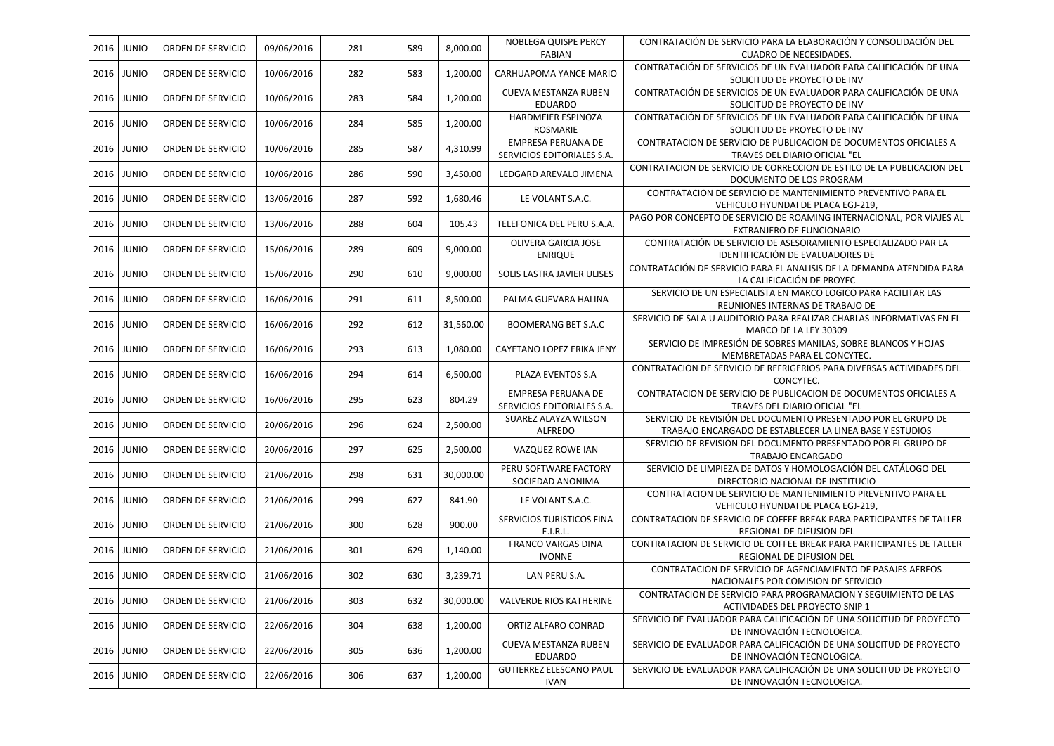| 2016 | <b>JUNIO</b> | ORDEN DE SERVICIO | 09/06/2016 | 281 | 589 | 8,000.00  | NOBLEGA QUISPE PERCY                             | CONTRATACIÓN DE SERVICIO PARA LA ELABORACIÓN Y CONSOLIDACIÓN DEL                                            |
|------|--------------|-------------------|------------|-----|-----|-----------|--------------------------------------------------|-------------------------------------------------------------------------------------------------------------|
|      |              |                   |            |     |     |           | <b>FABIAN</b>                                    | CUADRO DE NECESIDADES.                                                                                      |
| 2016 | <b>JUNIO</b> | ORDEN DE SERVICIO | 10/06/2016 | 282 | 583 | 1,200.00  | CARHUAPOMA YANCE MARIO                           | CONTRATACIÓN DE SERVICIOS DE UN EVALUADOR PARA CALIFICACIÓN DE UNA<br>SOLICITUD DE PROYECTO DE INV          |
| 2016 | <b>JUNIO</b> | ORDEN DE SERVICIO | 10/06/2016 | 283 | 584 | 1,200.00  | CUEVA MESTANZA RUBEN<br><b>EDUARDO</b>           | CONTRATACIÓN DE SERVICIOS DE UN EVALUADOR PARA CALIFICACIÓN DE UNA<br>SOLICITUD DE PROYECTO DE INV          |
| 2016 | <b>JUNIO</b> | ORDEN DE SERVICIO | 10/06/2016 | 284 | 585 | 1,200.00  | HARDMEIER ESPINOZA<br>ROSMARIE                   | CONTRATACIÓN DE SERVICIOS DE UN EVALUADOR PARA CALIFICACIÓN DE UNA<br>SOLICITUD DE PROYECTO DE INV          |
| 2016 | <b>JUNIO</b> | ORDEN DE SERVICIO | 10/06/2016 | 285 | 587 | 4,310.99  | EMPRESA PERUANA DE<br>SERVICIOS EDITORIALES S.A. | CONTRATACION DE SERVICIO DE PUBLICACION DE DOCUMENTOS OFICIALES A<br>TRAVES DEL DIARIO OFICIAL "EL          |
| 2016 | <b>JUNIO</b> | ORDEN DE SERVICIO | 10/06/2016 | 286 | 590 | 3,450.00  | LEDGARD AREVALO JIMENA                           | CONTRATACION DE SERVICIO DE CORRECCION DE ESTILO DE LA PUBLICACION DEL<br>DOCUMENTO DE LOS PROGRAM          |
| 2016 | <b>JUNIO</b> | ORDEN DE SERVICIO | 13/06/2016 | 287 | 592 | 1,680.46  | LE VOLANT S.A.C.                                 | CONTRATACION DE SERVICIO DE MANTENIMIENTO PREVENTIVO PARA EL                                                |
| 2016 | <b>JUNIO</b> | ORDEN DE SERVICIO | 13/06/2016 | 288 | 604 | 105.43    | TELEFONICA DEL PERU S.A.A.                       | VEHICULO HYUNDAI DE PLACA EGJ-219,<br>PAGO POR CONCEPTO DE SERVICIO DE ROAMING INTERNACIONAL, POR VIAJES AL |
|      |              |                   |            |     |     |           |                                                  | EXTRANJERO DE FUNCIONARIO                                                                                   |
| 2016 | <b>JUNIO</b> | ORDEN DE SERVICIO | 15/06/2016 | 289 | 609 | 9,000.00  | OLIVERA GARCIA JOSE<br><b>ENRIQUE</b>            | CONTRATACIÓN DE SERVICIO DE ASESORAMIENTO ESPECIALIZADO PAR LA<br>IDENTIFICACIÓN DE EVALUADORES DE          |
| 2016 | <b>JUNIO</b> | ORDEN DE SERVICIO | 15/06/2016 | 290 | 610 | 9,000.00  | SOLIS LASTRA JAVIER ULISES                       | CONTRATACIÓN DE SERVICIO PARA EL ANALISIS DE LA DEMANDA ATENDIDA PARA<br>LA CALIFICACIÓN DE PROYEC          |
| 2016 | <b>JUNIO</b> | ORDEN DE SERVICIO | 16/06/2016 | 291 | 611 | 8,500.00  | PALMA GUEVARA HALINA                             | SERVICIO DE UN ESPECIALISTA EN MARCO LOGICO PARA FACILITAR LAS<br>REUNIONES INTERNAS DE TRABAJO DE          |
| 2016 | <b>JUNIO</b> | ORDEN DE SERVICIO | 16/06/2016 | 292 | 612 | 31,560.00 | <b>BOOMERANG BET S.A.C</b>                       | SERVICIO DE SALA U AUDITORIO PARA REALIZAR CHARLAS INFORMATIVAS EN EL<br>MARCO DE LA LEY 30309              |
| 2016 | <b>JUNIO</b> | ORDEN DE SERVICIO | 16/06/2016 | 293 | 613 | 1,080.00  | CAYETANO LOPEZ ERIKA JENY                        | SERVICIO DE IMPRESIÓN DE SOBRES MANILAS, SOBRE BLANCOS Y HOJAS<br>MEMBRETADAS PARA EL CONCYTEC.             |
| 2016 | <b>JUNIO</b> | ORDEN DE SERVICIO | 16/06/2016 | 294 | 614 | 6,500.00  | PLAZA EVENTOS S.A                                | CONTRATACION DE SERVICIO DE REFRIGERIOS PARA DIVERSAS ACTIVIDADES DEL<br>CONCYTEC.                          |
| 2016 | <b>JUNIO</b> | ORDEN DE SERVICIO | 16/06/2016 | 295 | 623 | 804.29    | EMPRESA PERUANA DE<br>SERVICIOS EDITORIALES S.A. | CONTRATACION DE SERVICIO DE PUBLICACION DE DOCUMENTOS OFICIALES A<br>TRAVES DEL DIARIO OFICIAL "EL          |
|      |              |                   |            |     |     |           | SUAREZ ALAYZA WILSON                             | SERVICIO DE REVISIÓN DEL DOCUMENTO PRESENTADO POR EL GRUPO DE                                               |
| 2016 | <b>JUNIO</b> | ORDEN DE SERVICIO | 20/06/2016 | 296 | 624 | 2,500.00  | <b>ALFREDO</b>                                   | TRABAJO ENCARGADO DE ESTABLECER LA LINEA BASE Y ESTUDIOS                                                    |
| 2016 | <b>JUNIO</b> | ORDEN DE SERVICIO | 20/06/2016 | 297 | 625 | 2,500.00  | VAZQUEZ ROWE IAN                                 | SERVICIO DE REVISION DEL DOCUMENTO PRESENTADO POR EL GRUPO DE<br>TRABAJO ENCARGADO                          |
| 2016 | <b>JUNIO</b> | ORDEN DE SERVICIO | 21/06/2016 | 298 | 631 | 30,000.00 | PERU SOFTWARE FACTORY<br>SOCIEDAD ANONIMA        | SERVICIO DE LIMPIEZA DE DATOS Y HOMOLOGACIÓN DEL CATÁLOGO DEL<br>DIRECTORIO NACIONAL DE INSTITUCIO          |
| 2016 | <b>JUNIO</b> | ORDEN DE SERVICIO | 21/06/2016 | 299 | 627 | 841.90    | LE VOLANT S.A.C.                                 | CONTRATACION DE SERVICIO DE MANTENIMIENTO PREVENTIVO PARA EL<br>VEHICULO HYUNDAI DE PLACA EGJ-219,          |
| 2016 | <b>JUNIO</b> | ORDEN DE SERVICIO | 21/06/2016 | 300 | 628 | 900.00    | SERVICIOS TURISTICOS FINA<br>E.I.R.L.            | CONTRATACION DE SERVICIO DE COFFEE BREAK PARA PARTICIPANTES DE TALLER<br>REGIONAL DE DIFUSION DEL           |
| 2016 | <b>JUNIO</b> | ORDEN DE SERVICIO | 21/06/2016 | 301 | 629 | 1,140.00  | <b>FRANCO VARGAS DINA</b><br><b>IVONNE</b>       | CONTRATACION DE SERVICIO DE COFFEE BREAK PARA PARTICIPANTES DE TALLER<br>REGIONAL DE DIFUSION DEL           |
| 2016 | <b>JUNIO</b> | ORDEN DE SERVICIO | 21/06/2016 | 302 | 630 | 3,239.71  | LAN PERU S.A.                                    | CONTRATACION DE SERVICIO DE AGENCIAMIENTO DE PASAJES AEREOS<br>NACIONALES POR COMISION DE SERVICIO          |
| 2016 | <b>JUNIO</b> | ORDEN DE SERVICIO | 21/06/2016 | 303 | 632 | 30,000.00 | VALVERDE RIOS KATHERINE                          | CONTRATACION DE SERVICIO PARA PROGRAMACION Y SEGUIMIENTO DE LAS<br>ACTIVIDADES DEL PROYECTO SNIP 1          |
| 2016 | <b>JUNIO</b> | ORDEN DE SERVICIO | 22/06/2016 | 304 | 638 | 1,200.00  | ORTIZ ALFARO CONRAD                              | SERVICIO DE EVALUADOR PARA CALIFICACIÓN DE UNA SOLICITUD DE PROYECTO                                        |
| 2016 | <b>JUNIO</b> | ORDEN DE SERVICIO | 22/06/2016 | 305 | 636 | 1,200.00  | <b>CUEVA MESTANZA RUBEN</b>                      | DE INNOVACIÓN TECNOLOGICA.<br>SERVICIO DE EVALUADOR PARA CALIFICACIÓN DE UNA SOLICITUD DE PROYECTO          |
|      |              |                   |            |     |     |           | EDUARDO                                          | DE INNOVACIÓN TECNOLOGICA.                                                                                  |
| 2016 | <b>JUNIO</b> | ORDEN DE SERVICIO | 22/06/2016 | 306 | 637 | 1,200.00  | <b>GUTIERREZ ELESCANO PAUL</b><br><b>IVAN</b>    | SERVICIO DE EVALUADOR PARA CALIFICACIÓN DE UNA SOLICITUD DE PROYECTO<br>DE INNOVACIÓN TECNOLOGICA.          |